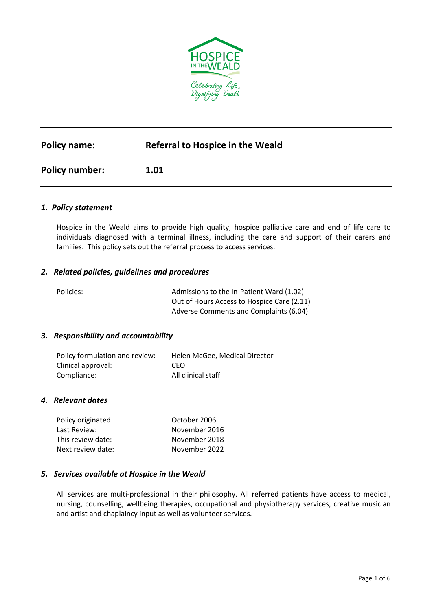

# **Policy name: Referral to Hospice in the Weald**

**Policy number: 1.01**

#### *1. Policy statement*

Hospice in the Weald aims to provide high quality, hospice palliative care and end of life care to individuals diagnosed with a terminal illness, including the care and support of their carers and families. This policy sets out the referral process to access services.

#### *2. Related policies, guidelines and procedures*

| Policies: | Admissions to the In-Patient Ward (1.02)   |
|-----------|--------------------------------------------|
|           | Out of Hours Access to Hospice Care (2.11) |
|           | Adverse Comments and Complaints (6.04)     |

#### *3. Responsibility and accountability*

| Policy formulation and review: | Helen McGee, Medical Director |
|--------------------------------|-------------------------------|
| Clinical approval:             | CEO.                          |
| Compliance:                    | All clinical staff            |

# *4. Relevant dates*

| Policy originated | October 2006  |
|-------------------|---------------|
| Last Review:      | November 2016 |
| This review date: | November 2018 |
| Next review date: | November 2022 |

#### *5.**Services available at Hospice in the Weald*

All services are multi-professional in their philosophy. All referred patients have access to medical, nursing, counselling, wellbeing therapies, occupational and physiotherapy services, creative musician and artist and chaplaincy input as well as volunteer services.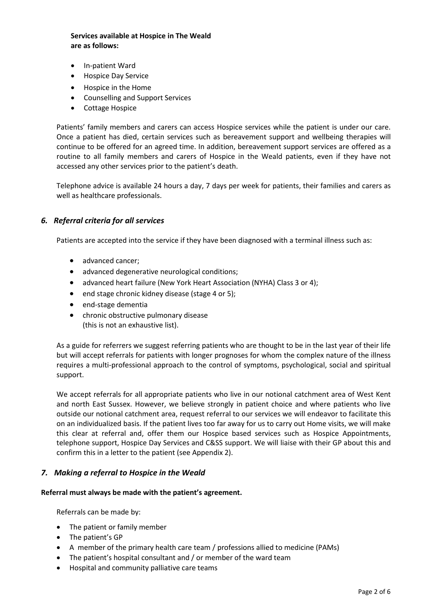### **Services available at Hospice in The Weald are as follows:**

- In-patient Ward
- Hospice Day Service
- Hospice in the Home
- Counselling and Support Services
- Cottage Hospice

Patients' family members and carers can access Hospice services while the patient is under our care. Once a patient has died, certain services such as bereavement support and wellbeing therapies will continue to be offered for an agreed time. In addition, bereavement support services are offered as a routine to all family members and carers of Hospice in the Weald patients, even if they have not accessed any other services prior to the patient's death.

Telephone advice is available 24 hours a day, 7 days per week for patients, their families and carers as well as healthcare professionals.

#### *6. Referral criteria for all services*

Patients are accepted into the service if they have been diagnosed with a terminal illness such as:

- advanced cancer;
- advanced degenerative neurological conditions;
- advanced heart failure (New York Heart Association (NYHA) Class 3 or 4);
- end stage chronic kidney disease (stage 4 or 5);
- end-stage dementia
- chronic obstructive pulmonary disease (this is not an exhaustive list).

As a guide for referrers we suggest referring patients who are thought to be in the last year of their life but will accept referrals for patients with longer prognoses for whom the complex nature of the illness requires a multi-professional approach to the control of symptoms, psychological, social and spiritual support.

We accept referrals for all appropriate patients who live in our notional catchment area of West Kent and north East Sussex. However, we believe strongly in patient choice and where patients who live outside our notional catchment area, request referral to our services we will endeavor to facilitate this on an individualized basis. If the patient lives too far away for us to carry out Home visits, we will make this clear at referral and, offer them our Hospice based services such as Hospice Appointments, telephone support, Hospice Day Services and C&SS support. We will liaise with their GP about this and confirm this in a letter to the patient (see Appendix 2).

# *7. Making a referral to Hospice in the Weald*

#### **Referral must always be made with the patient's agreement.**

Referrals can be made by:

- The patient or family member
- The patient's GP
- A member of the primary health care team / professions allied to medicine (PAMs)
- The patient's hospital consultant and / or member of the ward team
- Hospital and community palliative care teams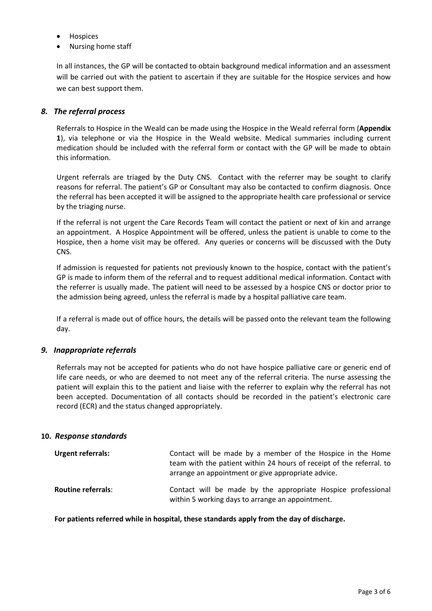- Hospices
- Nursing home staff

In all instances, the GP will be contacted to obtain background medical information and an assessment will be carried out with the patient to ascertain if they are suitable for the Hospice services and how we can best support them.

#### *8. The referral process*

Referrals to Hospice in the Weald can be made using the Hospice in the Weald referral form (**Appendix 1**), via telephone or via the Hospice in the Weald website. Medical summaries including current medication should be included with the referral form or contact with the GP will be made to obtain this information.

Urgent referrals are triaged by the Duty CNS. Contact with the referrer may be sought to clarify reasons for referral. The patient's GP or Consultant may also be contacted to confirm diagnosis. Once the referral has been accepted it will be assigned to the appropriate health care professional or service by the triaging nurse.

If the referral is not urgent the Care Records Team will contact the patient or next of kin and arrange an appointment. A Hospice Appointment will be offered, unless the patient is unable to come to the Hospice, then a home visit may be offered. Any queries or concerns will be discussed with the Duty CNS.

If admission is requested for patients not previously known to the hospice, contact with the patient's GP is made to inform them of the referral and to request additional medical information. Contact with the referrer is usually made. The patient will need to be assessed by a hospice CNS or doctor prior to the admission being agreed, unless the referral is made by a hospital palliative care team.

If a referral is made out of office hours, the details will be passed onto the relevant team the following day.

# *9. Inappropriate referrals*

Referrals may not be accepted for patients who do not have hospice palliative care or generic end of life care needs, or who are deemed to not meet any of the referral criteria. The nurse assessing the patient will explain this to the patient and liaise with the referrer to explain why the referral has not been accepted. Documentation of all contacts should be recorded in the patient's electronic care record (ECR) and the status changed appropriately.

#### **10.** *Response standards*

| <b>Urgent referrals:</b>  | Contact will be made by a member of the Hospice in the Home<br>team with the patient within 24 hours of receipt of the referral. to<br>arrange an appointment or give appropriate advice. |
|---------------------------|-------------------------------------------------------------------------------------------------------------------------------------------------------------------------------------------|
| <b>Routine referrals:</b> | Contact will be made by the appropriate Hospice professional<br>within 5 working days to arrange an appointment.                                                                          |

**For patients referred while in hospital, these standards apply from the day of discharge.**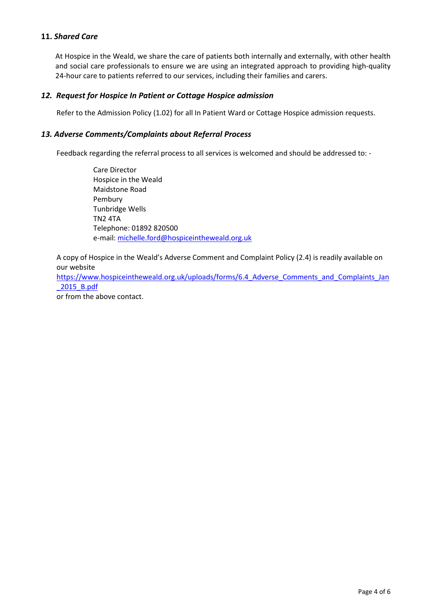# **11.** *Shared Care*

At Hospice in the Weald, we share the care of patients both internally and externally, with other health and social care professionals to ensure we are using an integrated approach to providing high-quality 24-hour care to patients referred to our services, including their families and carers.

# *12. Request for Hospice In Patient or Cottage Hospice admission*

Refer to the Admission Policy (1.02) for all In Patient Ward or Cottage Hospice admission requests.

#### *13. Adverse Comments/Complaints about Referral Process*

Feedback regarding the referral process to all services is welcomed and should be addressed to: -

Care Director Hospice in the Weald Maidstone Road Pembury Tunbridge Wells TN2 4TA Telephone: 01892 820500 e-mail: [michelle.ford@hospiceintheweald.org.uk](mailto:michelle.ford@hospiceintheweald.org.uk)

A copy of Hospice in the Weald's Adverse Comment and Complaint Policy (2.4) is readily available on our website

https://www.hospiceintheweald.org.uk/uploads/forms/6.4 Adverse Comments and Complaints Jan [\\_2015\\_B.pdf](https://www.hospiceintheweald.org.uk/uploads/forms/6.4_Adverse_Comments_and_Complaints_Jan_2015_B.pdf)

or from the above contact.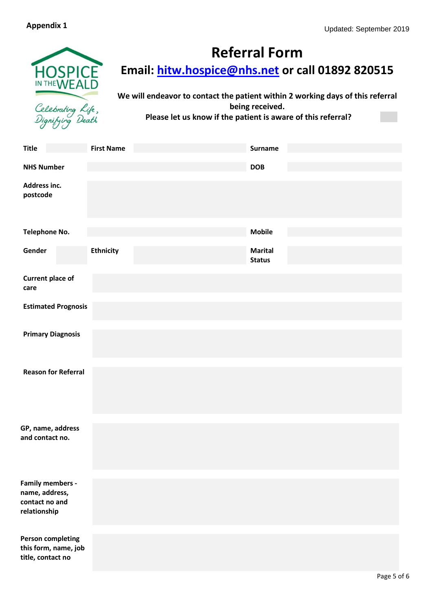

# **Referral Form**

**Email: [hitw.hospice@nhs.net](mailto:hitw.hospice@nhs.net) or call 01892 820515**

**We will endeavor to contact the patient within 2 working days of this referral being received. Please let us know if the patient is aware of this referral?**

| <b>Title</b>                                                                | <b>First Name</b> | <b>Surname</b>                  |
|-----------------------------------------------------------------------------|-------------------|---------------------------------|
| <b>NHS Number</b>                                                           |                   | <b>DOB</b>                      |
| Address inc.<br>postcode                                                    |                   |                                 |
| Telephone No.                                                               |                   | <b>Mobile</b>                   |
| Gender                                                                      | <b>Ethnicity</b>  | <b>Marital</b><br><b>Status</b> |
| <b>Current place of</b><br>care                                             |                   |                                 |
| <b>Estimated Prognosis</b>                                                  |                   |                                 |
| <b>Primary Diagnosis</b>                                                    |                   |                                 |
| <b>Reason for Referral</b>                                                  |                   |                                 |
| GP, name, address<br>and contact no.                                        |                   |                                 |
| <b>Family members -</b><br>name, address,<br>contact no and<br>relationship |                   |                                 |
| <b>Person completing</b><br>this form, name, job<br>title, contact no       |                   |                                 |